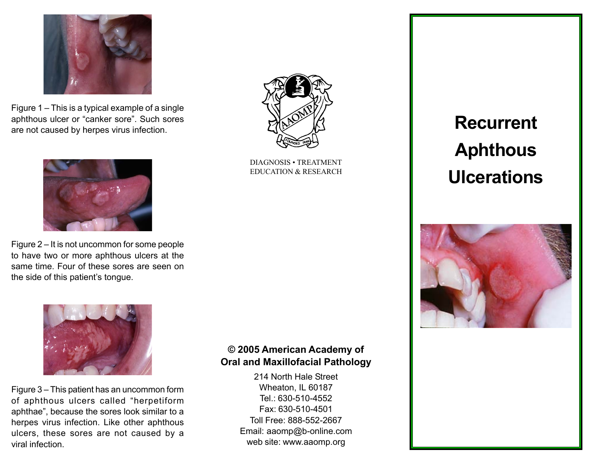

Figure  $1 -$  This is a typical example of a single aphthous ulcer or "canker sore". Such sores are not caused by herpes virus infection.



Figure  $2 - It$  is not uncommon for some people to have two or more aphthous ulcers at the same time. Four of these sores are seen on the side of this patient's tongue.



Figure  $3 -$  This patient has an uncommon form of aphthous ulcers called "herpetiform aphthae", because the sores look similar to a herpes virus infection. Like other aphthous ulcers, these sores are not caused by a viral infection.

# © 2005 American Academy of Oral and Maxillofacial Pathology

214 North Hale Street Wheaton, IL 60187 Tel.: 630-510-4552 Fax: 630-510-4501 Toll Free: 888-552-2667 Email: aaomp@b-online.com web site: www.aaomp.org

Recurrent **Aphthous Ulcerations** 





DIAGNOSIS · TREATMENT EDUCATION & RESEARCH